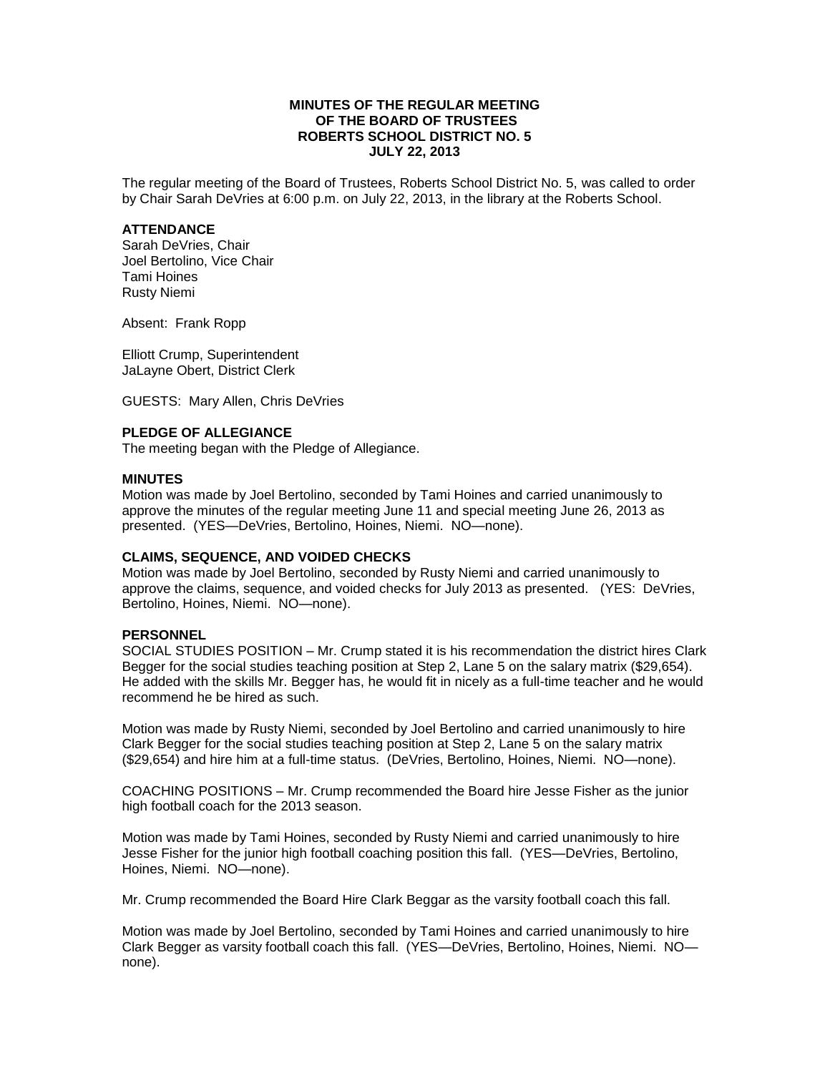## **MINUTES OF THE REGULAR MEETING OF THE BOARD OF TRUSTEES ROBERTS SCHOOL DISTRICT NO. 5 JULY 22, 2013**

The regular meeting of the Board of Trustees, Roberts School District No. 5, was called to order by Chair Sarah DeVries at 6:00 p.m. on July 22, 2013, in the library at the Roberts School.

### **ATTENDANCE**

Sarah DeVries, Chair Joel Bertolino, Vice Chair Tami Hoines Rusty Niemi

Absent: Frank Ropp

Elliott Crump, Superintendent JaLayne Obert, District Clerk

GUESTS: Mary Allen, Chris DeVries

### **PLEDGE OF ALLEGIANCE**

The meeting began with the Pledge of Allegiance.

#### **MINUTES**

Motion was made by Joel Bertolino, seconded by Tami Hoines and carried unanimously to approve the minutes of the regular meeting June 11 and special meeting June 26, 2013 as presented. (YES—DeVries, Bertolino, Hoines, Niemi. NO—none).

#### **CLAIMS, SEQUENCE, AND VOIDED CHECKS**

Motion was made by Joel Bertolino, seconded by Rusty Niemi and carried unanimously to approve the claims, sequence, and voided checks for July 2013 as presented. (YES: DeVries, Bertolino, Hoines, Niemi. NO—none).

#### **PERSONNEL**

SOCIAL STUDIES POSITION – Mr. Crump stated it is his recommendation the district hires Clark Begger for the social studies teaching position at Step 2, Lane 5 on the salary matrix (\$29,654). He added with the skills Mr. Begger has, he would fit in nicely as a full-time teacher and he would recommend he be hired as such.

Motion was made by Rusty Niemi, seconded by Joel Bertolino and carried unanimously to hire Clark Begger for the social studies teaching position at Step 2, Lane 5 on the salary matrix (\$29,654) and hire him at a full-time status. (DeVries, Bertolino, Hoines, Niemi. NO—none).

COACHING POSITIONS – Mr. Crump recommended the Board hire Jesse Fisher as the junior high football coach for the 2013 season.

Motion was made by Tami Hoines, seconded by Rusty Niemi and carried unanimously to hire Jesse Fisher for the junior high football coaching position this fall. (YES—DeVries, Bertolino, Hoines, Niemi. NO—none).

Mr. Crump recommended the Board Hire Clark Beggar as the varsity football coach this fall.

Motion was made by Joel Bertolino, seconded by Tami Hoines and carried unanimously to hire Clark Begger as varsity football coach this fall. (YES—DeVries, Bertolino, Hoines, Niemi. NO none).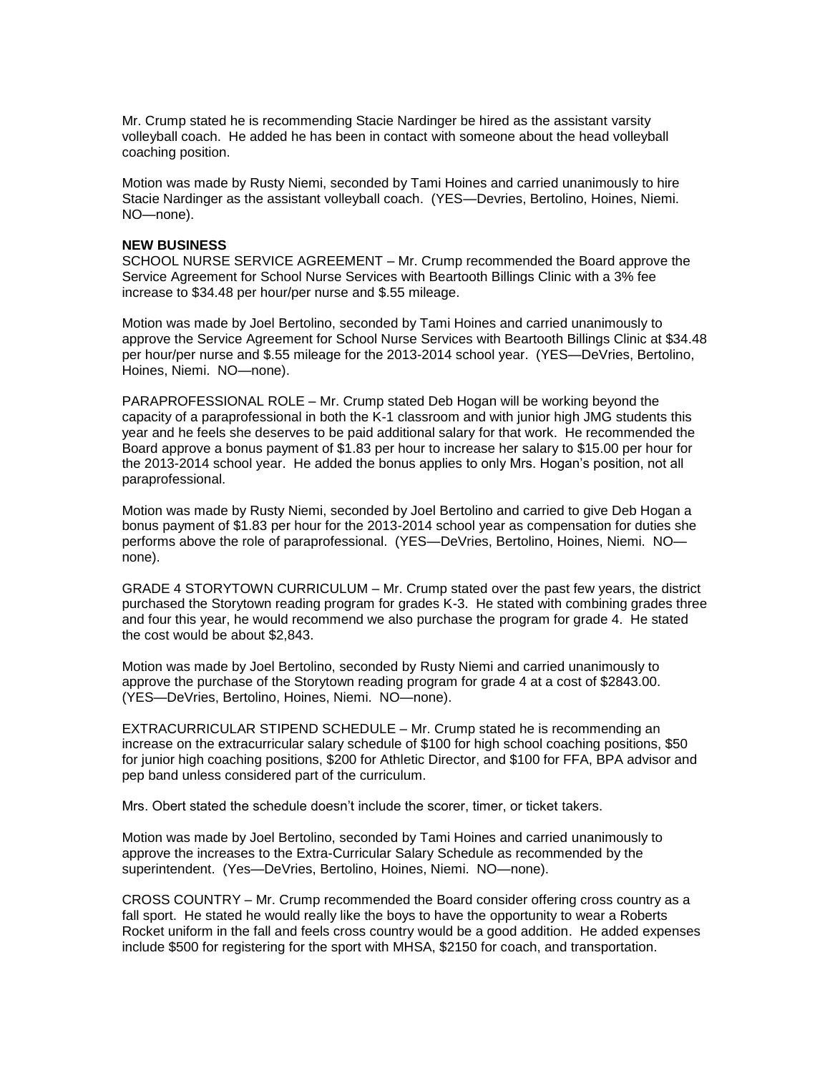Mr. Crump stated he is recommending Stacie Nardinger be hired as the assistant varsity volleyball coach. He added he has been in contact with someone about the head volleyball coaching position.

Motion was made by Rusty Niemi, seconded by Tami Hoines and carried unanimously to hire Stacie Nardinger as the assistant volleyball coach. (YES—Devries, Bertolino, Hoines, Niemi. NO—none).

## **NEW BUSINESS**

SCHOOL NURSE SERVICE AGREEMENT – Mr. Crump recommended the Board approve the Service Agreement for School Nurse Services with Beartooth Billings Clinic with a 3% fee increase to \$34.48 per hour/per nurse and \$.55 mileage.

Motion was made by Joel Bertolino, seconded by Tami Hoines and carried unanimously to approve the Service Agreement for School Nurse Services with Beartooth Billings Clinic at \$34.48 per hour/per nurse and \$.55 mileage for the 2013-2014 school year. (YES—DeVries, Bertolino, Hoines, Niemi. NO—none).

PARAPROFESSIONAL ROLE – Mr. Crump stated Deb Hogan will be working beyond the capacity of a paraprofessional in both the K-1 classroom and with junior high JMG students this year and he feels she deserves to be paid additional salary for that work. He recommended the Board approve a bonus payment of \$1.83 per hour to increase her salary to \$15.00 per hour for the 2013-2014 school year. He added the bonus applies to only Mrs. Hogan's position, not all paraprofessional.

Motion was made by Rusty Niemi, seconded by Joel Bertolino and carried to give Deb Hogan a bonus payment of \$1.83 per hour for the 2013-2014 school year as compensation for duties she performs above the role of paraprofessional. (YES—DeVries, Bertolino, Hoines, Niemi. NO none).

GRADE 4 STORYTOWN CURRICULUM – Mr. Crump stated over the past few years, the district purchased the Storytown reading program for grades K-3. He stated with combining grades three and four this year, he would recommend we also purchase the program for grade 4. He stated the cost would be about \$2,843.

Motion was made by Joel Bertolino, seconded by Rusty Niemi and carried unanimously to approve the purchase of the Storytown reading program for grade 4 at a cost of \$2843.00. (YES—DeVries, Bertolino, Hoines, Niemi. NO—none).

EXTRACURRICULAR STIPEND SCHEDULE – Mr. Crump stated he is recommending an increase on the extracurricular salary schedule of \$100 for high school coaching positions, \$50 for junior high coaching positions, \$200 for Athletic Director, and \$100 for FFA, BPA advisor and pep band unless considered part of the curriculum.

Mrs. Obert stated the schedule doesn't include the scorer, timer, or ticket takers.

Motion was made by Joel Bertolino, seconded by Tami Hoines and carried unanimously to approve the increases to the Extra-Curricular Salary Schedule as recommended by the superintendent. (Yes—DeVries, Bertolino, Hoines, Niemi. NO—none).

CROSS COUNTRY – Mr. Crump recommended the Board consider offering cross country as a fall sport. He stated he would really like the boys to have the opportunity to wear a Roberts Rocket uniform in the fall and feels cross country would be a good addition. He added expenses include \$500 for registering for the sport with MHSA, \$2150 for coach, and transportation.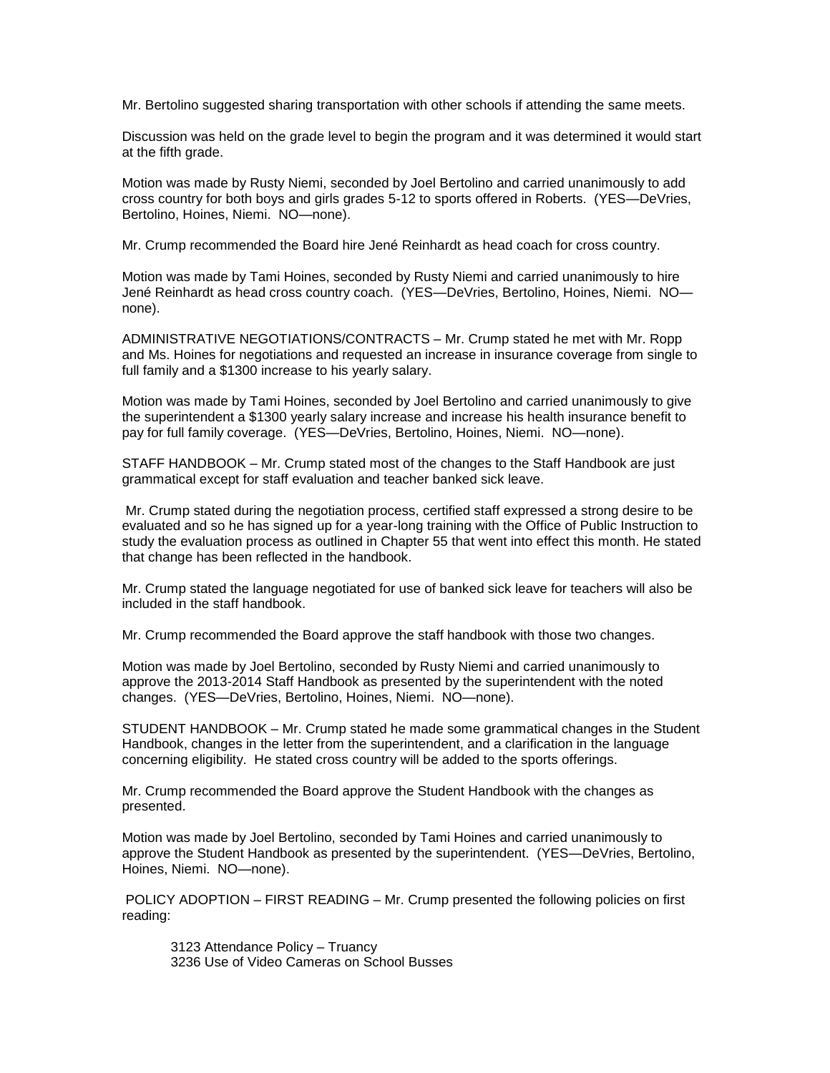Mr. Bertolino suggested sharing transportation with other schools if attending the same meets.

Discussion was held on the grade level to begin the program and it was determined it would start at the fifth grade.

Motion was made by Rusty Niemi, seconded by Joel Bertolino and carried unanimously to add cross country for both boys and girls grades 5-12 to sports offered in Roberts. (YES—DeVries, Bertolino, Hoines, Niemi. NO—none).

Mr. Crump recommended the Board hire Jené Reinhardt as head coach for cross country.

Motion was made by Tami Hoines, seconded by Rusty Niemi and carried unanimously to hire Jené Reinhardt as head cross country coach. (YES—DeVries, Bertolino, Hoines, Niemi. NO none).

ADMINISTRATIVE NEGOTIATIONS/CONTRACTS – Mr. Crump stated he met with Mr. Ropp and Ms. Hoines for negotiations and requested an increase in insurance coverage from single to full family and a \$1300 increase to his yearly salary.

Motion was made by Tami Hoines, seconded by Joel Bertolino and carried unanimously to give the superintendent a \$1300 yearly salary increase and increase his health insurance benefit to pay for full family coverage. (YES—DeVries, Bertolino, Hoines, Niemi. NO—none).

STAFF HANDBOOK – Mr. Crump stated most of the changes to the Staff Handbook are just grammatical except for staff evaluation and teacher banked sick leave.

Mr. Crump stated during the negotiation process, certified staff expressed a strong desire to be evaluated and so he has signed up for a year-long training with the Office of Public Instruction to study the evaluation process as outlined in Chapter 55 that went into effect this month. He stated that change has been reflected in the handbook.

Mr. Crump stated the language negotiated for use of banked sick leave for teachers will also be included in the staff handbook.

Mr. Crump recommended the Board approve the staff handbook with those two changes.

Motion was made by Joel Bertolino, seconded by Rusty Niemi and carried unanimously to approve the 2013-2014 Staff Handbook as presented by the superintendent with the noted changes. (YES—DeVries, Bertolino, Hoines, Niemi. NO—none).

STUDENT HANDBOOK – Mr. Crump stated he made some grammatical changes in the Student Handbook, changes in the letter from the superintendent, and a clarification in the language concerning eligibility. He stated cross country will be added to the sports offerings.

Mr. Crump recommended the Board approve the Student Handbook with the changes as presented.

Motion was made by Joel Bertolino, seconded by Tami Hoines and carried unanimously to approve the Student Handbook as presented by the superintendent. (YES—DeVries, Bertolino, Hoines, Niemi. NO—none).

POLICY ADOPTION – FIRST READING – Mr. Crump presented the following policies on first reading:

3123 Attendance Policy – Truancy 3236 Use of Video Cameras on School Busses